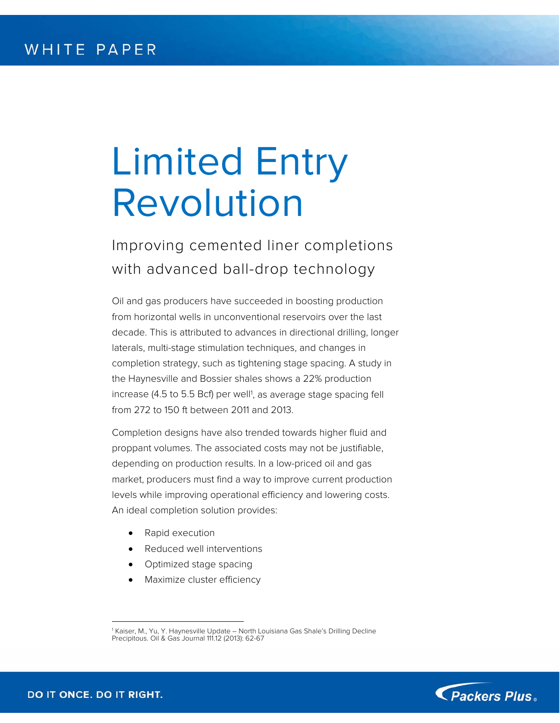# Limited Entry Revolution

Improving cemented liner completions with advanced ball-drop technology

Oil and gas producers have succeeded in boosting production from horizontal wells in unconventional reservoirs over the last decade. This is attributed to advances in directional drilling, longer laterals, multi-stage stimulation techniques, and changes in completion strategy, such as tightening stage spacing. A study in the Haynesville and Bossier shales shows a 22% production increase (4.5 to 5.5 Bcf) per well<sup>1</sup>, as average stage spacing fell from 272 to 150 ft between 2011 and 2013.

Completion designs have also trended towards higher fluid and proppant volumes. The associated costs may not be justifiable, depending on production results. In a low-priced oil and gas market, producers must find a way to improve current production levels while improving operational efficiency and lowering costs. An ideal completion solution provides:

- Rapid execution
- Reduced well interventions
- Optimized stage spacing
- Maximize cluster efficiency



 $\overline{a}$ 1 Kaiser, M., Yu, Y. Haynesville Update – North Louisiana Gas Shale's Drilling Decline Precipitous. Oil & Gas Journal 111.12 (2013): 62-67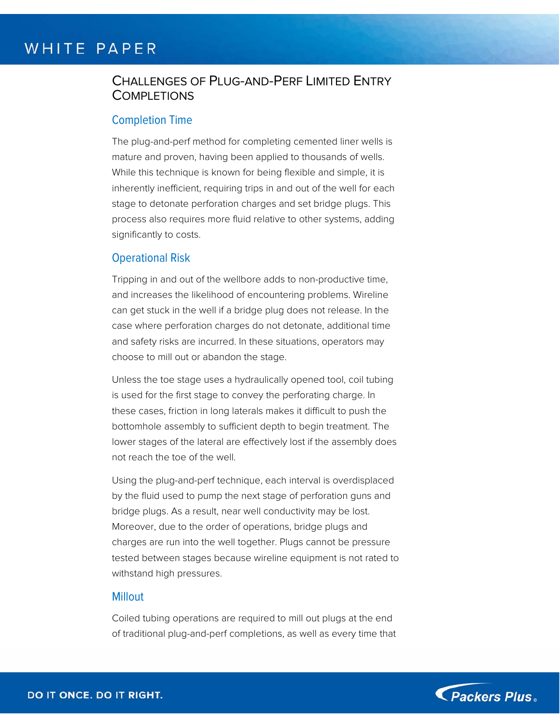# CHALLENGES OF PLUG-AND-PERF LIMITED ENTRY **COMPLETIONS**

### Completion Time

The plug-and-perf method for completing cemented liner wells is mature and proven, having been applied to thousands of wells. While this technique is known for being flexible and simple, it is inherently inefficient, requiring trips in and out of the well for each stage to detonate perforation charges and set bridge plugs. This process also requires more fluid relative to other systems, adding significantly to costs.

### Operational Risk

Tripping in and out of the wellbore adds to non-productive time, and increases the likelihood of encountering problems. Wireline can get stuck in the well if a bridge plug does not release. In the case where perforation charges do not detonate, additional time and safety risks are incurred. In these situations, operators may choose to mill out or abandon the stage.

Unless the toe stage uses a hydraulically opened tool, coil tubing is used for the first stage to convey the perforating charge. In these cases, friction in long laterals makes it difficult to push the bottomhole assembly to sufficient depth to begin treatment. The lower stages of the lateral are effectively lost if the assembly does not reach the toe of the well.

Using the plug-and-perf technique, each interval is overdisplaced by the fluid used to pump the next stage of perforation guns and bridge plugs. As a result, near well conductivity may be lost. Moreover, due to the order of operations, bridge plugs and charges are run into the well together. Plugs cannot be pressure tested between stages because wireline equipment is not rated to withstand high pressures.

#### **Millout**

Coiled tubing operations are required to mill out plugs at the end of traditional plug-and-perf completions, as well as every time that

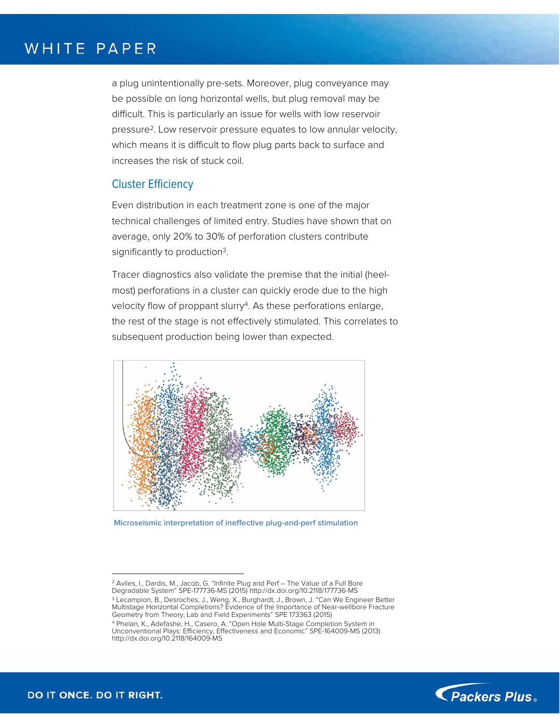a plug unintentionally pre-sets. Moreover, plug conveyance may be possible on long horizontal wells, but plug removal may be difficult. This is particularly an issue for wells with low reservoir pressure2. Low reservoir pressure equates to low annular velocity, which means it is difficult to flow plug parts back to surface and increases the risk of stuck coil.

## Cluster Efficiency

Even distribution in each treatment zone is one of the major technical challenges of limited entry. Studies have shown that on average, only 20% to 30% of perforation clusters contribute significantly to production<sup>3</sup>.

Tracer diagnostics also validate the premise that the initial (heelmost) perforations in a cluster can quickly erode due to the high velocity flow of proppant slurry<sup>4</sup>. As these perforations enlarge, the rest of the stage is not effectively stimulated. This correlates to subsequent production being lower than expected.



**Microseismic interpretation of ineffective plug-and-perf stimulation** 



1

 $2$  Aviles, I., Dardis, M., Jacob, G. "Infinite Plug and Perf  $-$  The Value of a Full Bore

<sup>&</sup>lt;sup>3</sup> Lecampion, B., Desroches, J., Weng, X., Burghardt, J., Brown, J. "Can We Engineer Better Multistage Horizontal Completions? Evidence of the Importance of Near-wellbore Fracture Geometry from Theory, Lab and Field Experiments" SPE 173363 (2015)

<sup>4</sup> Phelan, K., Adefashe, H., Casero, A. "Open Hole Multi-Stage Completion System in Unconventional Plays: Efficiency, Effectiveness and Economic" SPE-164009-MS (2013) http://dx.doi.org/10.2118/164009-MS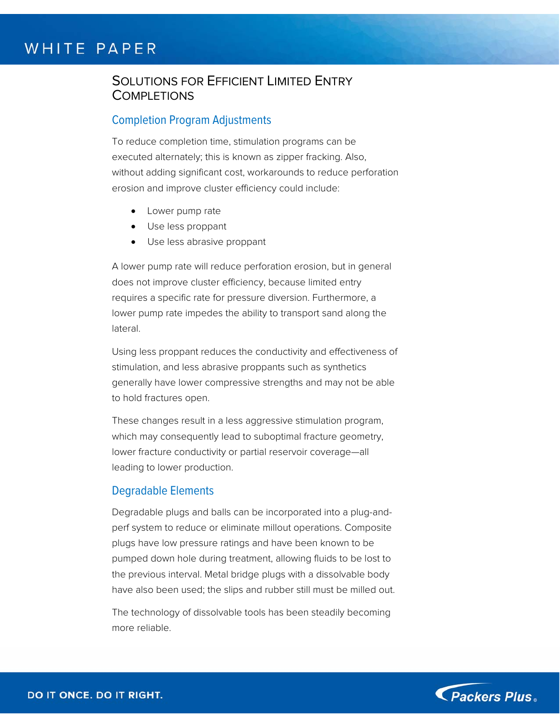# SOLUTIONS FOR EFFICIENT LIMITED ENTRY **COMPLETIONS**

## Completion Program Adjustments

To reduce completion time, stimulation programs can be executed alternately; this is known as zipper fracking. Also, without adding significant cost, workarounds to reduce perforation erosion and improve cluster efficiency could include:

- Lower pump rate
- Use less proppant
- Use less abrasive proppant

A lower pump rate will reduce perforation erosion, but in general does not improve cluster efficiency, because limited entry requires a specific rate for pressure diversion. Furthermore, a lower pump rate impedes the ability to transport sand along the lateral.

Using less proppant reduces the conductivity and effectiveness of stimulation, and less abrasive proppants such as synthetics generally have lower compressive strengths and may not be able to hold fractures open.

These changes result in a less aggressive stimulation program, which may consequently lead to suboptimal fracture geometry, lower fracture conductivity or partial reservoir coverage—all leading to lower production.

#### Degradable Elements

Degradable plugs and balls can be incorporated into a plug-andperf system to reduce or eliminate millout operations. Composite plugs have low pressure ratings and have been known to be pumped down hole during treatment, allowing fluids to be lost to the previous interval. Metal bridge plugs with a dissolvable body have also been used; the slips and rubber still must be milled out.

The technology of dissolvable tools has been steadily becoming more reliable.

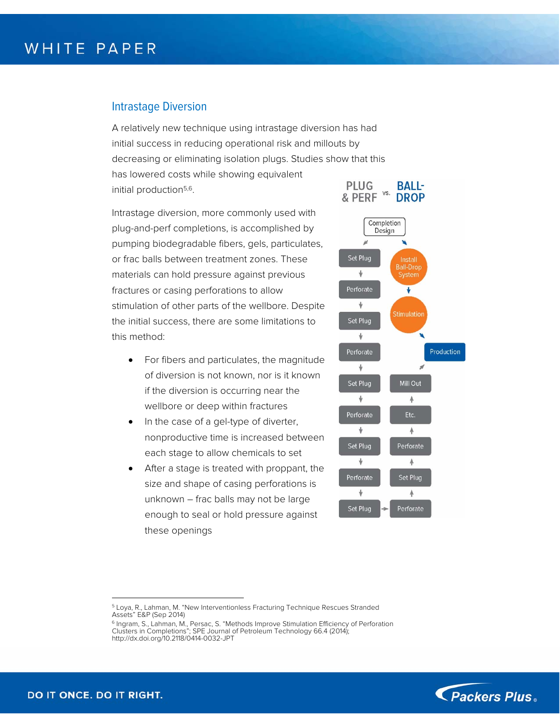## Intrastage Diversion

A relatively new technique using intrastage diversion has had initial success in reducing operational risk and millouts by decreasing or eliminating isolation plugs. Studies show that this has lowered costs while showing equivalent **PLUG** initial production5,6.

Intrastage diversion, more commonly used with plug-and-perf completions, is accomplished by pumping biodegradable fibers, gels, particulates, or frac balls between treatment zones. These materials can hold pressure against previous fractures or casing perforations to allow stimulation of other parts of the wellbore. Despite the initial success, there are some limitations to this method:

- For fibers and particulates, the magnitude of diversion is not known, nor is it known if the diversion is occurring near the wellbore or deep within fractures
- In the case of a gel-type of diverter, nonproductive time is increased between each stage to allow chemicals to set
- After a stage is treated with proppant, the size and shape of casing perforations is unknown – frac balls may not be large enough to seal or hold pressure against these openings





1

<sup>5</sup> Loya, R., Lahman, M. "New Interventionless Fracturing Technique Rescues Stranded Assets" E&P (Sep 2014)

<sup>&</sup>lt;sup>6</sup> Ingram, S., Lahman, M., Persac, S. "Methods Improve Stimulation Efficiency of Perforation<br>Clusters in Completions"; SPE Journal of Petroleum Technology 66.4 (2014); http://dx.doi.org/10.2118/0414-0032-JPT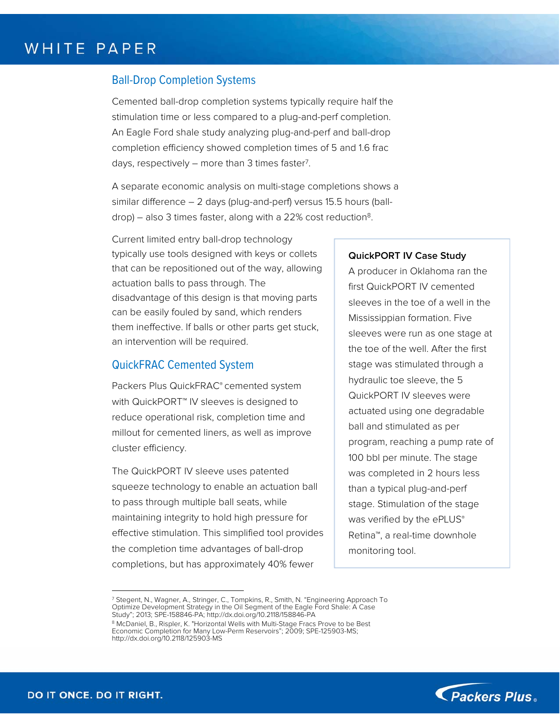## Ball-Drop Completion Systems

Cemented ball-drop completion systems typically require half the stimulation time or less compared to a plug-and-perf completion. An Eagle Ford shale study analyzing plug-and-perf and ball-drop completion efficiency showed completion times of 5 and 1.6 frac days, respectively  $-$  more than 3 times faster<sup>7</sup>.

A separate economic analysis on multi-stage completions shows a similar difference – 2 days (plug-and-perf) versus 15.5 hours (ball $drop$ ) – also 3 times faster, along with a 22% cost reduction<sup>8</sup>.

Current limited entry ball-drop technology typically use tools designed with keys or collets that can be repositioned out of the way, allowing actuation balls to pass through. The disadvantage of this design is that moving parts can be easily fouled by sand, which renders them ineffective. If balls or other parts get stuck, an intervention will be required.

## QuickFRAC Cemented System

Packers Plus QuickFRAC® cemented system with QuickPORT™ IV sleeves is designed to reduce operational risk, completion time and millout for cemented liners, as well as improve cluster efficiency.

The QuickPORT IV sleeve uses patented squeeze technology to enable an actuation ball to pass through multiple ball seats, while maintaining integrity to hold high pressure for effective stimulation. This simplified tool provides the completion time advantages of ball-drop completions, but has approximately 40% fewer

#### **QuickPORT IV Case Study**

A producer in Oklahoma ran the first QuickPORT IV cemented sleeves in the toe of a well in the Mississippian formation. Five sleeves were run as one stage at the toe of the well. After the first stage was stimulated through a hydraulic toe sleeve, the 5 QuickPORT IV sleeves were actuated using one degradable ball and stimulated as per program, reaching a pump rate of 100 bbl per minute. The stage was completed in 2 hours less than a typical plug-and-perf stage. Stimulation of the stage was verified by the ePLUS® Retina™, a real-time downhole monitoring tool.



1

<sup>7</sup> Stegent, N., Wagner, A., Stringer, C., Tompkins, R., Smith, N. "Engineering Approach To Optimize Development Strategy in the Oil Segment of the Eagle Ford Shale: A Case Study"; 2013; SPE-158846-PA; http://dx.doi.org/10.2118/158846-PA

<sup>8</sup> McDaniel, B., Rispler, K. "Horizontal Wells with Multi-Stage Fracs Prove to be Best Economic Completion for Many Low-Perm Reservoirs"; 2009; SPE-125903-MS; http://dx.doi.org/10.2118/125903-MS